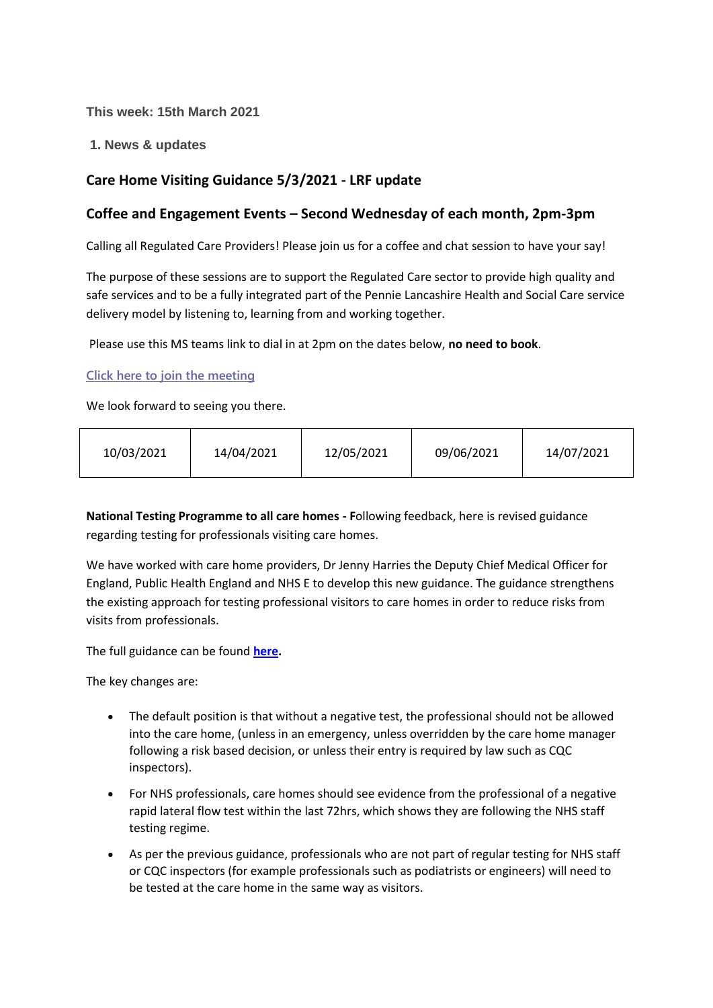**This week: 15th March 2021**

**1. News & updates**

# **Care Home Visiting Guidance 5/3/2021 - LRF update**

# **Coffee and Engagement Events – Second Wednesday of each month, 2pm-3pm**

Calling all Regulated Care Providers! Please join us for a coffee and chat session to have your say!

The purpose of these sessions are to support the Regulated Care sector to provide high quality and safe services and to be a fully integrated part of the Pennie Lancashire Health and Social Care service delivery model by listening to, learning from and working together.

Please use this MS teams link to dial in at 2pm on the dates below, **no need to book**.

**[Click here to join the meeting](https://teams.microsoft.com/l/meetup-join/19%3ameeting_NjkxOTI3M2MtMzdlNC00MDliLWFhMjgtZmZiZjMzZGI5OTkw%40thread.v2/0?context=%7b%22Tid%22%3a%2237c354b2-85b0-47f5-b222-07b48d774ee3%22%2c%22Oid%22%3a%22a2ec35af-1c40-4f8f-8903-a088b26ed2a2%22%7d)**

We look forward to seeing you there.

| 10/03/2021 | 14/04/2021 | 12/05/2021 | 09/06/2021 | 14/07/2021 |
|------------|------------|------------|------------|------------|
|------------|------------|------------|------------|------------|

**National Testing Programme to all care homes - F**ollowing feedback, here is revised guidance regarding testing for professionals visiting care homes.

We have worked with care home providers, Dr Jenny Harries the Deputy Chief Medical Officer for England, Public Health England and NHS E to develop this new guidance. The guidance strengthens the existing approach for testing professional visitors to care homes in order to reduce risks from visits from professionals.

The full guidance can be found **[here.](https://www.gov.uk/government/publications/coronavirus-covid-19-lateral-flow-testing-in-adult-social-care-settings/testing-for-professionals-visiting-care-homes)**

The key changes are:

- The default position is that without a negative test, the professional should not be allowed into the care home, (unless in an emergency, unless overridden by the care home manager following a risk based decision, or unless their entry is required by law such as CQC inspectors).
- For NHS professionals, care homes should see evidence from the professional of a negative rapid lateral flow test within the last 72hrs, which shows they are following the NHS staff testing regime.
- As per the previous guidance, professionals who are not part of regular testing for NHS staff or CQC inspectors (for example professionals such as podiatrists or engineers) will need to be tested at the care home in the same way as visitors.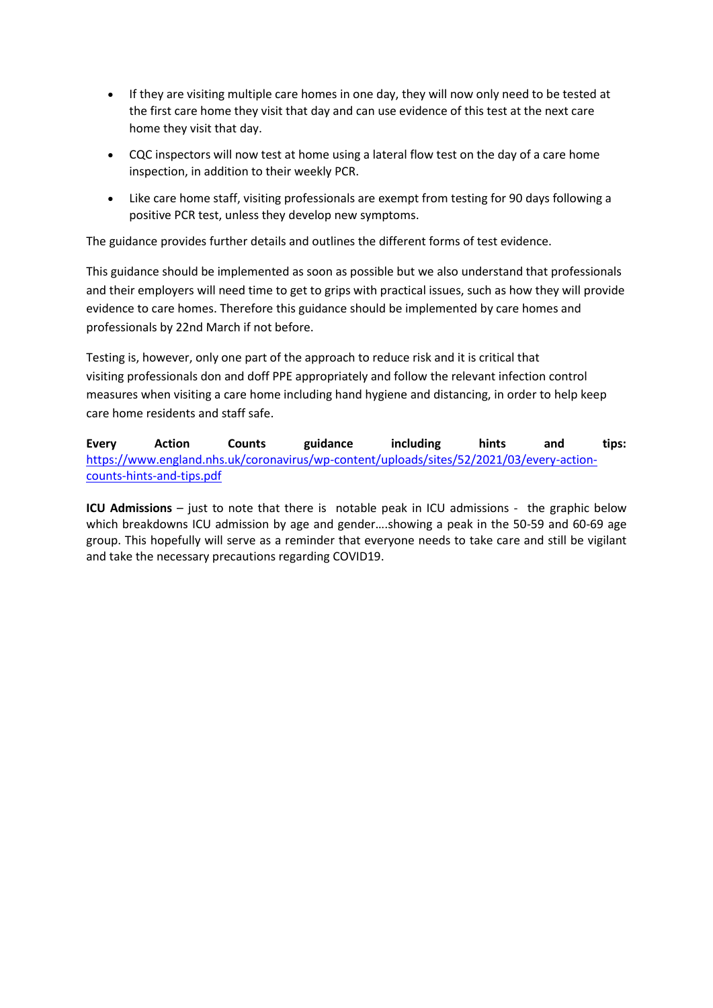- If they are visiting multiple care homes in one day, they will now only need to be tested at the first care home they visit that day and can use evidence of this test at the next care home they visit that day.
- CQC inspectors will now test at home using a lateral flow test on the day of a care home inspection, in addition to their weekly PCR.
- Like care home staff, visiting professionals are exempt from testing for 90 days following a positive PCR test, unless they develop new symptoms.

The guidance provides further details and outlines the different forms of test evidence.

This guidance should be implemented as soon as possible but we also understand that professionals and their employers will need time to get to grips with practical issues, such as how they will provide evidence to care homes. Therefore this guidance should be implemented by care homes and professionals by 22nd March if not before.

Testing is, however, only one part of the approach to reduce risk and it is critical that visiting professionals don and doff PPE appropriately and follow the relevant infection control measures when visiting a care home including hand hygiene and distancing, in order to help keep care home residents and staff safe.

**Every Action Counts guidance including hints and tips:** [https://www.england.nhs.uk/coronavirus/wp-content/uploads/sites/52/2021/03/every-action](https://www.england.nhs.uk/coronavirus/wp-content/uploads/sites/52/2021/03/every-action-counts-hints-and-tips.pdf)[counts-hints-and-tips.pdf](https://www.england.nhs.uk/coronavirus/wp-content/uploads/sites/52/2021/03/every-action-counts-hints-and-tips.pdf)

**ICU Admissions** – just to note that there is notable peak in ICU admissions - the graphic below which breakdowns ICU admission by age and gender….showing a peak in the 50-59 and 60-69 age group. This hopefully will serve as a reminder that everyone needs to take care and still be vigilant and take the necessary precautions regarding COVID19.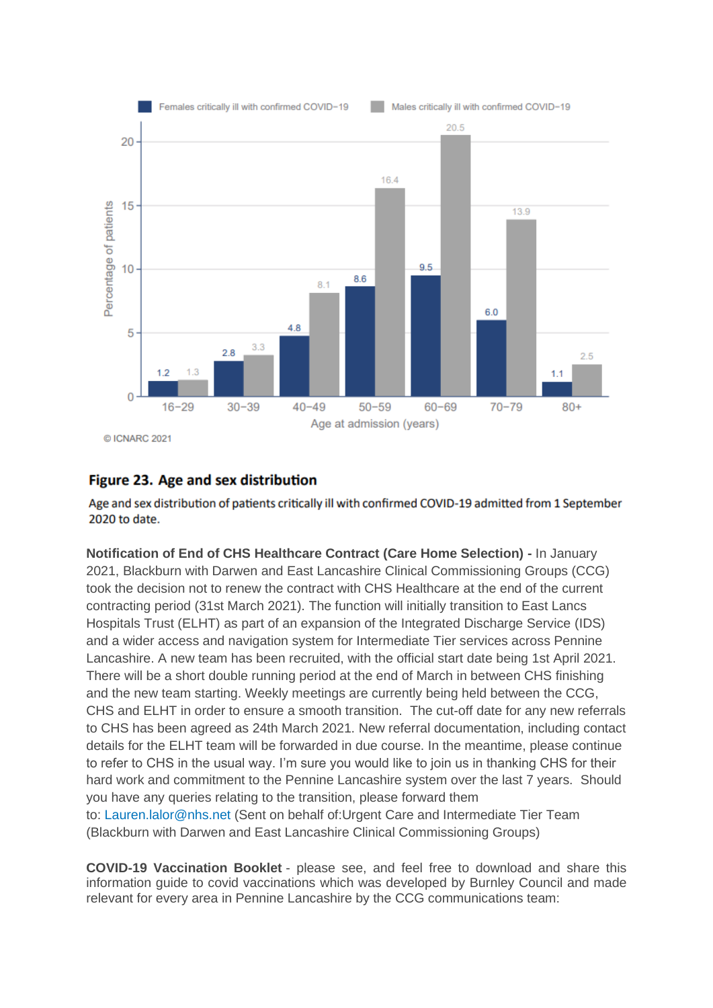

# Figure 23. Age and sex distribution

Age and sex distribution of patients critically ill with confirmed COVID-19 admitted from 1 September 2020 to date.

**Notification of End of CHS Healthcare Contract (Care Home Selection) -** In January 2021, Blackburn with Darwen and East Lancashire Clinical Commissioning Groups (CCG) took the decision not to renew the contract with CHS Healthcare at the end of the current contracting period (31st March 2021). The function will initially transition to East Lancs Hospitals Trust (ELHT) as part of an expansion of the Integrated Discharge Service (IDS) and a wider access and navigation system for Intermediate Tier services across Pennine Lancashire. A new team has been recruited, with the official start date being 1st April 2021. There will be a short double running period at the end of March in between CHS finishing and the new team starting. Weekly meetings are currently being held between the CCG, CHS and ELHT in order to ensure a smooth transition. The cut-off date for any new referrals to CHS has been agreed as 24th March 2021. New referral documentation, including contact details for the ELHT team will be forwarded in due course. In the meantime, please continue to refer to CHS in the usual way. I'm sure you would like to join us in thanking CHS for their hard work and commitment to the Pennine Lancashire system over the last 7 years. Should you have any queries relating to the transition, please forward them to: [Lauren.lalor@nhs.net](mailto:Lauren.lalor@nhs.net) (Sent on behalf of:Urgent Care and Intermediate Tier Team (Blackburn with Darwen and East Lancashire Clinical Commissioning Groups)

**COVID-19 Vaccination Booklet** - please see, and feel free to download and share this information guide to covid vaccinations which was developed by Burnley Council and made relevant for every area in Pennine Lancashire by the CCG communications team: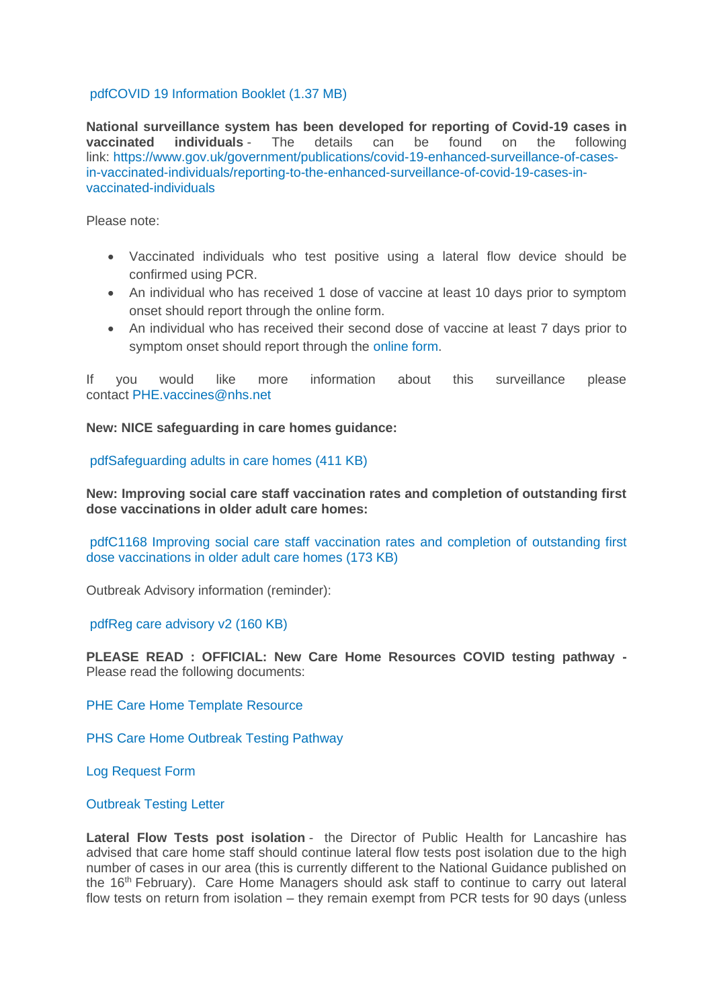#### [pdfCOVID 19 Information Booklet](https://eastlancsccg.nhs.uk/about-us/publications/2793-covid-19-information-booklet-2) (1.37 MB)

**National surveillance system has been developed for reporting of Covid-19 cases in vaccinated individuals** - The details can be found on the following link: [https://www.gov.uk/government/publications/covid-19-enhanced-surveillance-of-cases](https://www.gov.uk/government/publications/covid-19-enhanced-surveillance-of-cases-in-vaccinated-individuals/reporting-to-the-enhanced-surveillance-of-covid-19-cases-in-vaccinated-individuals)[in-vaccinated-individuals/reporting-to-the-enhanced-surveillance-of-covid-19-cases-in](https://www.gov.uk/government/publications/covid-19-enhanced-surveillance-of-cases-in-vaccinated-individuals/reporting-to-the-enhanced-surveillance-of-covid-19-cases-in-vaccinated-individuals)[vaccinated-individuals](https://www.gov.uk/government/publications/covid-19-enhanced-surveillance-of-cases-in-vaccinated-individuals/reporting-to-the-enhanced-surveillance-of-covid-19-cases-in-vaccinated-individuals)

Please note:

- Vaccinated individuals who test positive using a lateral flow device should be confirmed using PCR.
- An individual who has received 1 dose of vaccine at least 10 days prior to symptom onset should report through the online form.
- An individual who has received their second dose of vaccine at least 7 days prior to symptom onset should report through the [online form.](https://snapsurvey.phe.org.uk/snapwebhost/s.asp?k=161037673124)

If you would like more information about this surveillance please contact [PHE.vaccines@nhs.net](mailto:PHE.vaccines@nhs.net)

**New: NICE safeguarding in care homes guidance:**

[pdfSafeguarding adults in care homes](https://eastlancsccg.nhs.uk/about-us/publications/2794-safeguarding-adults-in-care-homes) (411 KB)

**New: Improving social care staff vaccination rates and completion of outstanding first dose vaccinations in older adult care homes:**

[pdfC1168 Improving social care staff vaccination rates](https://eastlancsccg.nhs.uk/about-us/publications/2795-c1168-improving-social-care-staff-vaccination-rates-and-completion-of-outstanding-first-dose-vaccinations-in-older-adult-care-homes) and completion of outstanding first [dose vaccinations in older adult care homes](https://eastlancsccg.nhs.uk/about-us/publications/2795-c1168-improving-social-care-staff-vaccination-rates-and-completion-of-outstanding-first-dose-vaccinations-in-older-adult-care-homes) (173 KB)

Outbreak Advisory information (reminder):

[pdfReg care advisory v2](https://eastlancsccg.nhs.uk/about-us/publications/2796-reg-care-advisory-v2) (160 KB)

**PLEASE READ : OFFICIAL: New Care Home Resources COVID testing pathway -** Please read the following documents:

[PHE Care Home Template Resource](https://eastlancsccg.nhs.uk/images/PHE_NW_ARI_Care_Home_Template_Resource_v2.1_18022021.pptx)

[PHS Care Home Outbreak Testing Pathway](https://eastlancsccg.nhs.uk/images/PHE_NW_ARI_Care_Home_Outbreak_Testing_Pathway_v1.6_19022021.pdf)

[Log Request Form](https://eastlancsccg.nhs.uk/images/ILog_Request_Form_v10.docx)

[Outbreak Testing Letter](https://eastlancsccg.nhs.uk/images/Outbreak_testing_letter_16_Feb.pdf)

**Lateral Flow Tests post isolation** - the Director of Public Health for Lancashire has advised that care home staff should continue lateral flow tests post isolation due to the high number of cases in our area (this is currently different to the National Guidance published on the 16th February). Care Home Managers should ask staff to continue to carry out lateral flow tests on return from isolation – they remain exempt from PCR tests for 90 days (unless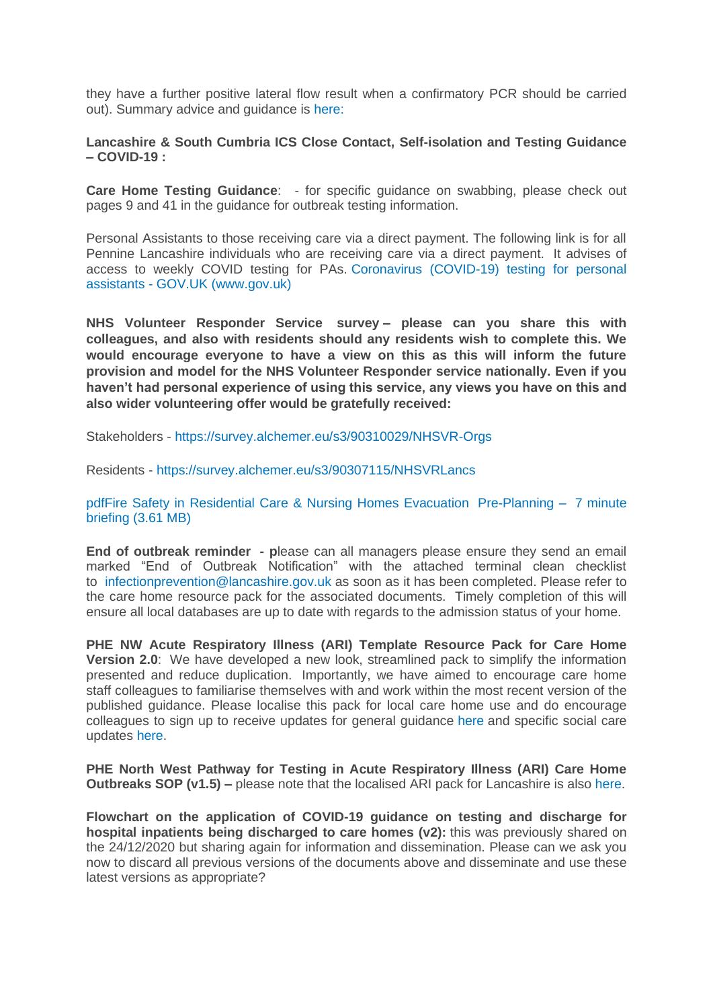they have a further positive lateral flow result when a confirmatory PCR should be carried out). Summary advice and guidance is [here:](https://eastlancsccg.nhs.uk/images/DPHAdvice_LFD_care.docx)

**Lancashire & South Cumbria ICS Close Contact, Self-isolation and Testing Guidance – COVID-19 :**

**Care Home Testing Guidance:** - for specific guidance on swabbing, please check out pages 9 and 41 in the guidance for outbreak testing information.

Personal Assistants to those receiving care via a direct payment. The following link is for all Pennine Lancashire individuals who are receiving care via a direct payment. It advises of access to weekly COVID testing for PAs. [Coronavirus \(COVID-19\) testing for personal](https://www.gov.uk/guidance/coronavirus-covid-19-testing-for-personal-assistants)  assistants - [GOV.UK \(www.gov.uk\)](https://www.gov.uk/guidance/coronavirus-covid-19-testing-for-personal-assistants)

**NHS Volunteer Responder Service survey – please can you share this with colleagues, and also with residents should any residents wish to complete this. We would encourage everyone to have a view on this as this will inform the future provision and model for the NHS Volunteer Responder service nationally. Even if you haven't had personal experience of using this service, any views you have on this and also wider volunteering offer would be gratefully received:**

Stakeholders - <https://survey.alchemer.eu/s3/90310029/NHSVR-Orgs>

Residents - <https://survey.alchemer.eu/s3/90307115/NHSVRLancs>

[pdfFire Safety in Residential Care & Nursing Homes Evacuation](https://eastlancsccg.nhs.uk/about-us/publications/2771-lsab-and-lfrs-fire-safety-in-residential-care-nursing-homes-evacuation) Pre-Planning – 7 minute briefing [\(3.61 MB\)](https://eastlancsccg.nhs.uk/about-us/publications/2771-lsab-and-lfrs-fire-safety-in-residential-care-nursing-homes-evacuation)

**End of outbreak reminder - p**lease can all managers please ensure they send an email marked "End of Outbreak Notification" with the attached terminal clean checklist to [infectionprevention@lancashire.gov.uk](mailto:infectionprevention@lancashire.gov.uk) as soon as it has been completed. Please refer to the care home resource pack for the associated documents. Timely completion of this will ensure all local databases are up to date with regards to the admission status of your home.

**PHE NW Acute Respiratory Illness (ARI) Template Resource Pack for Care Home Version 2.0**: We have developed a new look, streamlined pack to simplify the information presented and reduce duplication. Importantly, we have aimed to encourage care home staff colleagues to familiarise themselves with and work within the most recent version of the published guidance. Please localise this pack for local care home use and do encourage colleagues to sign up to receive updates for general guidance [here](https://eur01.safelinks.protection.outlook.com/?url=https%3A%2F%2Fwww.gov.uk%2Femail-signup%3Ftopic%3D%2Fcoronavirus-taxon&data=04%7C01%7CICC.Northwest%40phe.gov.uk%7C43409d913cfe4836d83808d8b6ea2da9%7Cee4e14994a354b2ead475f3cf9de8666%7C0%7C0%7C637460464223163495%7CUnknown%7CTWFpbGZsb3d8eyJWIjoiMC4wLjAwMDAiLCJQIjoiV2luMzIiLCJBTiI6Ik1haWwiLCJXVCI6Mn0%3D%7C1000&sdata=AHge6%2F2yyUXLRWU1ibFh3r221NBwYIT%2BMTt71VeYLYo%3D&reserved=0) and specific social care updates [here.](https://eur01.safelinks.protection.outlook.com/?url=https%3A%2F%2Fdhsc-mail.co.uk%2Fform%2FSx1iaZDJ%2Fd4e8f5123aa2d11bf90fb9e3%2F&data=04%7C01%7CICC.Northwest%40phe.gov.uk%7C43409d913cfe4836d83808d8b6ea2da9%7Cee4e14994a354b2ead475f3cf9de8666%7C0%7C0%7C637460464223163495%7CUnknown%7CTWFpbGZsb3d8eyJWIjoiMC4wLjAwMDAiLCJQIjoiV2luMzIiLCJBTiI6Ik1haWwiLCJXVCI6Mn0%3D%7C1000&sdata=AeD387cOKNfN9zu3LcGoT8SjKSa0Uw959oiprQfyhHo%3D&reserved=0)

**PHE North West Pathway for Testing in Acute Respiratory Illness (ARI) Care Home Outbreaks SOP (v1.5) –** please note that the localised ARI pack for Lancashire is also [here.](https://www.lancashire.gov.uk/media/921449/phe-nw-acute-respiratory-illness-ari-template-resource-pack-for-care-homes-version-20.pdf)

**Flowchart on the application of COVID-19 guidance on testing and discharge for hospital inpatients being discharged to care homes (v2):** this was previously shared on the 24/12/2020 but sharing again for information and dissemination. Please can we ask you now to discard all previous versions of the documents above and disseminate and use these latest versions as appropriate?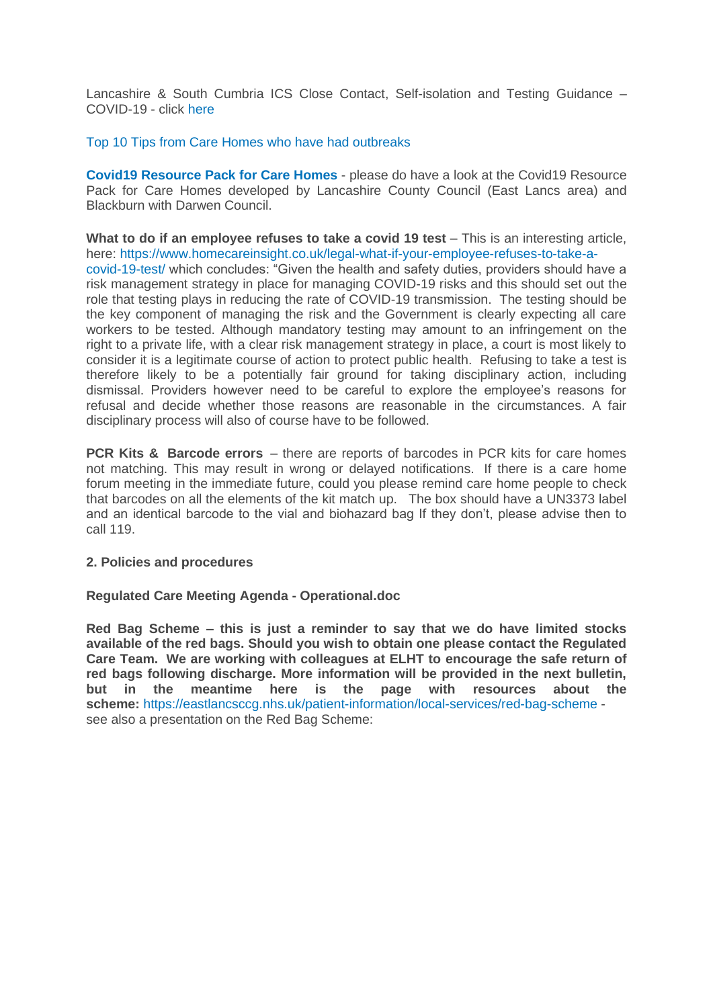Lancashire & South Cumbria ICS Close Contact, Self-isolation and Testing Guidance – COVID-19 - click [here](https://eastlancsccg.nhs.uk/images/Staff_notice_guide_to_close_contacts_self-isolation_and_testing_version__.pdf)

#### [Top 10 Tips from Care Homes who have had outbreaks](https://eastlancsccg.nhs.uk/images/RegulatedCareSector/Top_ten_tips.docx)

**[Covid19 Resource Pack for Care Homes](https://www.lancashire.gov.uk/practitioners/health-and-social-care/care-service-provider-engagement/coronavirus-covid-19-information-for-care-providers/residential-and-nursing-care/)** - please do have a look at the Covid19 Resource Pack for Care Homes developed by Lancashire County Council (East Lancs area) and Blackburn with Darwen Council.

**What to do if an employee refuses to take a covid 19 test** – This is an interesting article, here: [https://www.homecareinsight.co.uk/legal-what-if-your-employee-refuses-to-take-a](https://www.homecareinsight.co.uk/legal-what-if-your-employee-refuses-to-take-a-covid-19-test/)[covid-19-test/](https://www.homecareinsight.co.uk/legal-what-if-your-employee-refuses-to-take-a-covid-19-test/) which concludes: "Given the health and safety duties, providers should have a risk management strategy in place for managing COVID-19 risks and this should set out the role that testing plays in reducing the rate of COVID-19 transmission. The testing should be the key component of managing the risk and the Government is clearly expecting all care workers to be tested. Although mandatory testing may amount to an infringement on the right to a private life, with a clear risk management strategy in place, a court is most likely to consider it is a legitimate course of action to protect public health. Refusing to take a test is therefore likely to be a potentially fair ground for taking disciplinary action, including dismissal. Providers however need to be careful to explore the employee's reasons for refusal and decide whether those reasons are reasonable in the circumstances. A fair disciplinary process will also of course have to be followed.

**PCR Kits & Barcode errors** – there are reports of barcodes in PCR kits for care homes not matching. This may result in wrong or delayed notifications. If there is a care home forum meeting in the immediate future, could you please remind care home people to check that barcodes on all the elements of the kit match up. The box should have a UN3373 label and an identical barcode to the vial and biohazard bag If they don't, please advise then to call 119.

#### **2. Policies and procedures**

#### **Regulated Care Meeting Agenda - Operational.doc**

**Red Bag Scheme – this is just a reminder to say that we do have limited stocks available of the red bags. Should you wish to obtain one please contact the Regulated Care Team. We are working with colleagues at ELHT to encourage the safe return of red bags following discharge. More information will be provided in the next bulletin, but in the meantime here is the page with resources about the scheme:** <https://eastlancsccg.nhs.uk/patient-information/local-services/red-bag-scheme> see also a presentation on the Red Bag Scheme: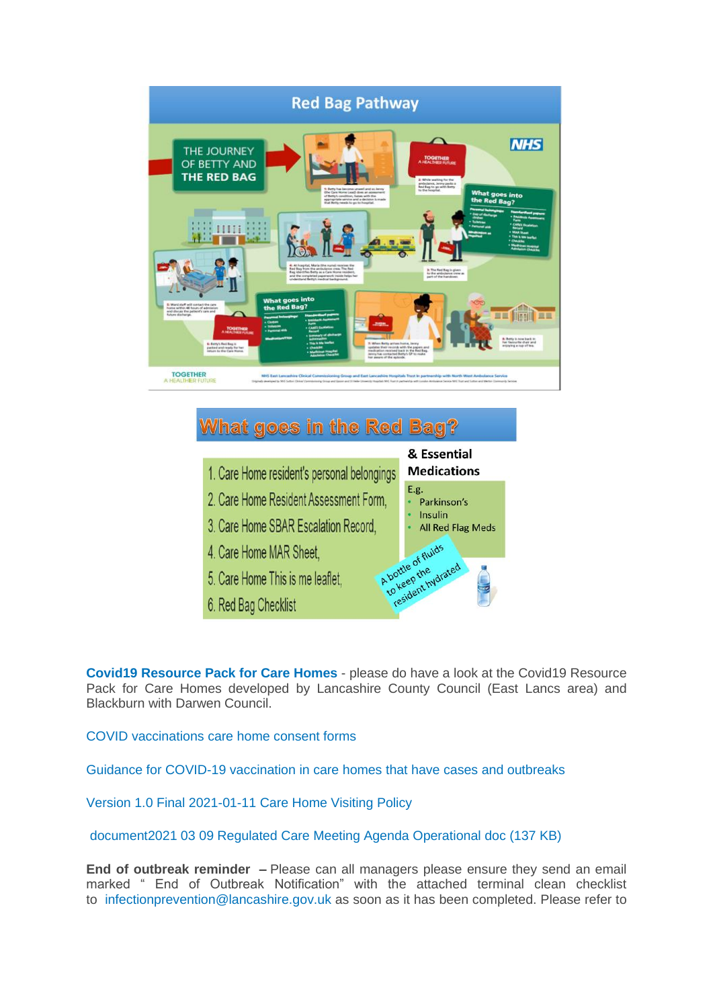

# **What goes in the Red Bag?**

- 1. Care Home resident's personal belongings
- 2. Care Home Resident Assessment Form.
- 3. Care Home SBAR Escalation Record.
- 4. Care Home MAR Sheet.
- 5. Care Home This is me leaflet.
- 6. Red Bag Checklist



**[Covid19 Resource Pack for Care Homes](https://www.lancashire.gov.uk/practitioners/health-and-social-care/care-service-provider-engagement/coronavirus-covid-19-information-for-care-providers/residential-and-nursing-care/)** - please do have a look at the Covid19 Resource Pack for Care Homes developed by Lancashire County Council (East Lancs area) and Blackburn with Darwen Council.

[COVID vaccinations care home consent forms](https://eastlancsccg.nhs.uk/images/RegulatedCareSector/20201208_ICS_CH_CvdVacConsentForm_v1_FINAL.PDF)

[Guidance for COVID-19 vaccination in care homes that have cases and outbreaks](https://www.england.nhs.uk/coronavirus/publication/guidance-for-covid-19-vaccination-in-care-homes-that-have-cases-and-outbreaks/)

[Version 1.0 Final 2021-01-11 Care Home Visiting Policy](https://www.gov.uk/government/publications/visiting-care-homes-during-coronavirus/update-on-policies-for-visiting-arrangements-in-care-homes)

[document2021 03 09 Regulated Care Meeting Agenda Operational doc](https://eastlancsccg.nhs.uk/about-us/publications/2798-2021-03-09-regulated-care-meeting-agenda-operational-doc) (137 KB)

**End of outbreak reminder –** Please can all managers please ensure they send an email marked " End of Outbreak Notification" with the attached terminal clean checklist to [infectionprevention@lancashire.gov.uk](mailto:infectionprevention@lancashire.gov.uk) as soon as it has been completed. Please refer to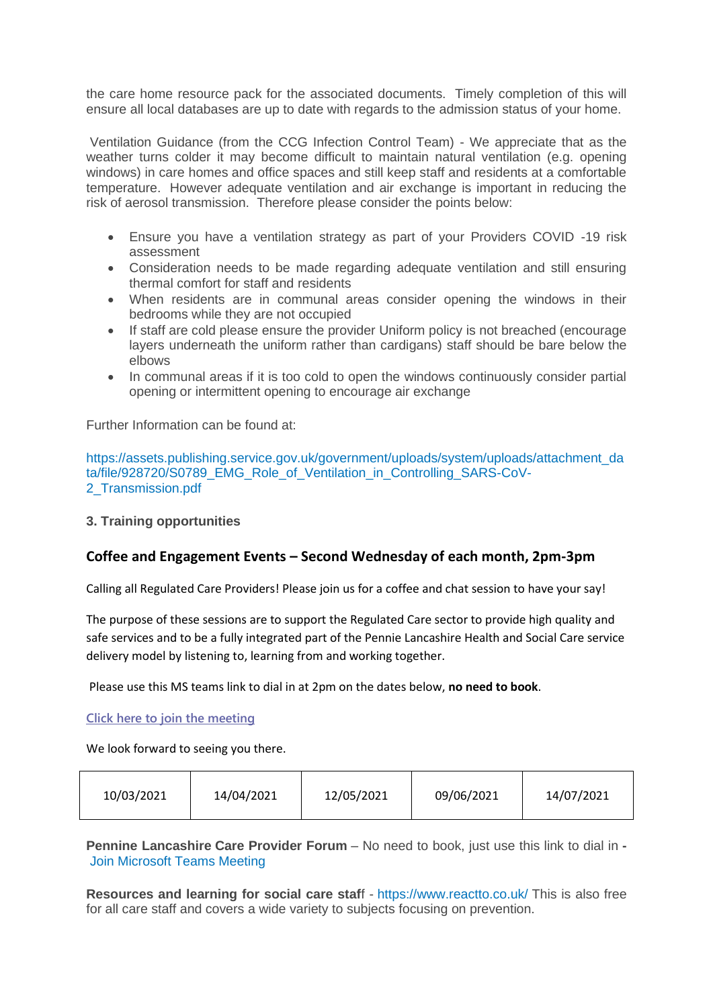the care home resource pack for the associated documents. Timely completion of this will ensure all local databases are up to date with regards to the admission status of your home.

Ventilation Guidance (from the CCG Infection Control Team) - We appreciate that as the weather turns colder it may become difficult to maintain natural ventilation (e.g. opening windows) in care homes and office spaces and still keep staff and residents at a comfortable temperature. However adequate ventilation and air exchange is important in reducing the risk of aerosol transmission. Therefore please consider the points below:

- Ensure you have a ventilation strategy as part of your Providers COVID -19 risk assessment
- Consideration needs to be made regarding adequate ventilation and still ensuring thermal comfort for staff and residents
- When residents are in communal areas consider opening the windows in their bedrooms while they are not occupied
- If staff are cold please ensure the provider Uniform policy is not breached (encourage layers underneath the uniform rather than cardigans) staff should be bare below the elbows
- In communal areas if it is too cold to open the windows continuously consider partial opening or intermittent opening to encourage air exchange

Further Information can be found at:

[https://assets.publishing.service.gov.uk/government/uploads/system/uploads/attachment\\_da](https://assets.publishing.service.gov.uk/government/uploads/system/uploads/attachment_data/file/928720/S0789_EMG_Role_of_Ventilation_in_Controlling_SARS-CoV-2_Transmission.pdf) [ta/file/928720/S0789\\_EMG\\_Role\\_of\\_Ventilation\\_in\\_Controlling\\_SARS-CoV-](https://assets.publishing.service.gov.uk/government/uploads/system/uploads/attachment_data/file/928720/S0789_EMG_Role_of_Ventilation_in_Controlling_SARS-CoV-2_Transmission.pdf)[2\\_Transmission.pdf](https://assets.publishing.service.gov.uk/government/uploads/system/uploads/attachment_data/file/928720/S0789_EMG_Role_of_Ventilation_in_Controlling_SARS-CoV-2_Transmission.pdf)

**3. Training opportunities**

# **Coffee and Engagement Events – Second Wednesday of each month, 2pm-3pm**

Calling all Regulated Care Providers! Please join us for a coffee and chat session to have your say!

The purpose of these sessions are to support the Regulated Care sector to provide high quality and safe services and to be a fully integrated part of the Pennie Lancashire Health and Social Care service delivery model by listening to, learning from and working together.

Please use this MS teams link to dial in at 2pm on the dates below, **no need to book**.

**[Click here to join the meeting](https://teams.microsoft.com/l/meetup-join/19%3ameeting_NjkxOTI3M2MtMzdlNC00MDliLWFhMjgtZmZiZjMzZGI5OTkw%40thread.v2/0?context=%7b%22Tid%22%3a%2237c354b2-85b0-47f5-b222-07b48d774ee3%22%2c%22Oid%22%3a%22a2ec35af-1c40-4f8f-8903-a088b26ed2a2%22%7d)**

We look forward to seeing you there.

| 10/03/2021 | 14/04/2021 | 12/05/2021 | 09/06/2021 | 14/07/2021 |
|------------|------------|------------|------------|------------|
|------------|------------|------------|------------|------------|

**Pennine Lancashire Care Provider Forum** – No need to book, just use this link to dial in **-** [Join Microsoft Teams Meeting](https://teams.microsoft.com/l/meetup-join/19%3ameeting_OWE0ZjdiNjUtNTRmZC00YzE2LWFhMjYtYjk2MGRhOTQ5NTEw%40thread.v2/0?context=%7b%22Tid%22%3a%2237c354b2-85b0-47f5-b222-07b48d774ee3%22%2c%22Oid%22%3a%226ae1fd49-b6bd-4e18-8c59-b3f5992aa6e2%22%7d)

**Resources and learning for social care staf**f - <https://www.reactto.co.uk/> This is also free for all care staff and covers a wide variety to subjects focusing on prevention.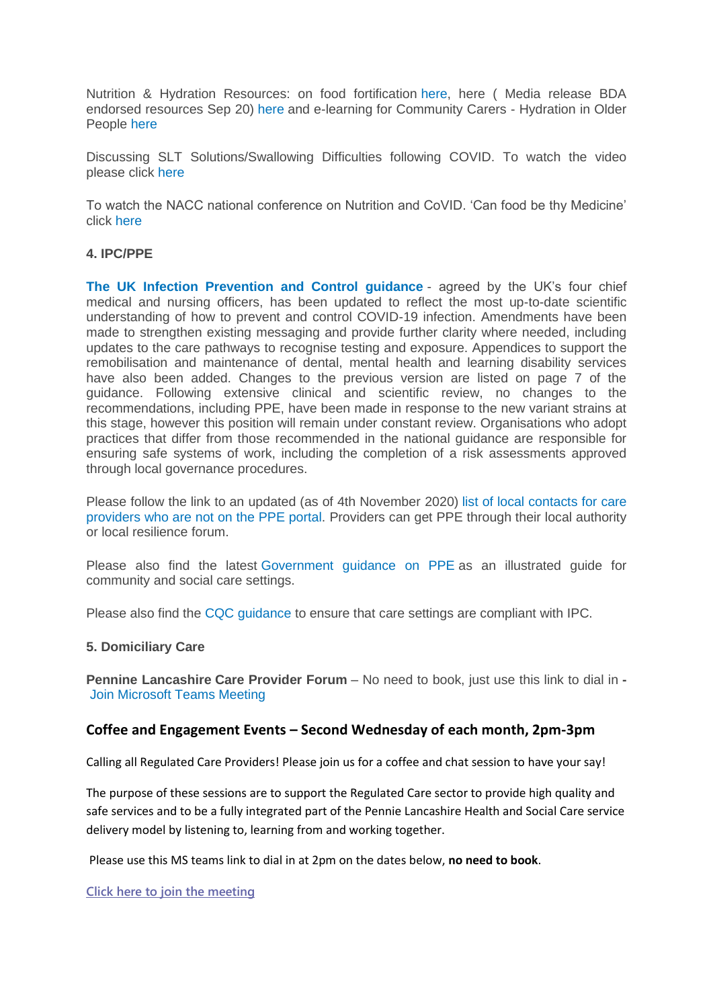Nutrition & Hydration Resources: on food fortification [here,](file:///C:/Users/libby.horsfield/AppData/Local/Microsoft/Windows/INetCache/Content.Outlook/JPBAACMK/images/Food_Fortification.pdf) here ( Media release BDA endorsed resources Sep 20) [here](file:///C:/Users/libby.horsfield/AppData/Local/Microsoft/Windows/INetCache/Content.Outlook/JPBAACMK/images/Media_release_BDA_endorsed_resources_Sep_20.docx) and e-learning for Community Carers - Hydration in Older People [here](file:///C:/Users/libby.horsfield/AppData/Local/Microsoft/Windows/INetCache/Content.Outlook/JPBAACMK/images/e-learning_for_Community_Carers_-_Hydration_in_Older_People.docx)

Discussing SLT Solutions/Swallowing Difficulties following COVID. To watch the video please click [here](https://bit.ly/2G8VuhL)

To watch the NACC national conference on Nutrition and CoVID. 'Can food be thy Medicine' click [here](https://bit.ly/2TnSmkZ)

# **4. IPC/PPE**

**[The UK Infection Prevention and Control guidance](https://www.gov.uk/government/publications/wuhan-novel-coronavirus-infection-prevention-and-control)** - agreed by the UK's four chief medical and nursing officers, has been updated to reflect the most up-to-date scientific understanding of how to prevent and control COVID-19 infection. Amendments have been made to strengthen existing messaging and provide further clarity where needed, including updates to the care pathways to recognise testing and exposure. Appendices to support the remobilisation and maintenance of dental, mental health and learning disability services have also been added. Changes to the previous version are listed on page 7 of the guidance. Following extensive clinical and scientific review, no changes to the recommendations, including PPE, have been made in response to the new variant strains at this stage, however this position will remain under constant review. Organisations who adopt practices that differ from those recommended in the national guidance are responsible for ensuring safe systems of work, including the completion of a risk assessments approved through local governance procedures.

Please follow the link to an updated (as of 4th November 2020) [list of local contacts for care](https://www.gov.uk/guidance/personal-protective-equipment-ppe-local-contacts-for-care-providers?utm_source=7b0599ce-5951-49ad-aa64-8d33f4581bd8&utm_medium=email&utm_campaign=govuk-notifications&utm_content=daily)  [providers who are not on the PPE portal.](https://www.gov.uk/guidance/personal-protective-equipment-ppe-local-contacts-for-care-providers?utm_source=7b0599ce-5951-49ad-aa64-8d33f4581bd8&utm_medium=email&utm_campaign=govuk-notifications&utm_content=daily) Providers can get PPE through their local authority or local resilience forum.

Please also find the latest [Government guidance on PPE](https://www.gov.uk/government/publications/personal-protective-equipment-ppe-illustrated-guide-for-community-and-social-care-settings) as an illustrated guide for community and social care settings.

Please also find the [CQC guidance](https://www.cqc.org.uk/guidance-providers/residential-adult-social-care/infection-prevention-control-care-homes) to ensure that care settings are compliant with IPC.

#### **5. Domiciliary Care**

**Pennine Lancashire Care Provider Forum** – No need to book, just use this link to dial in **-** [Join Microsoft Teams Meeting](https://teams.microsoft.com/l/meetup-join/19%3ameeting_OWE0ZjdiNjUtNTRmZC00YzE2LWFhMjYtYjk2MGRhOTQ5NTEw%40thread.v2/0?context=%7b%22Tid%22%3a%2237c354b2-85b0-47f5-b222-07b48d774ee3%22%2c%22Oid%22%3a%226ae1fd49-b6bd-4e18-8c59-b3f5992aa6e2%22%7d)

#### **Coffee and Engagement Events – Second Wednesday of each month, 2pm-3pm**

Calling all Regulated Care Providers! Please join us for a coffee and chat session to have your say!

The purpose of these sessions are to support the Regulated Care sector to provide high quality and safe services and to be a fully integrated part of the Pennie Lancashire Health and Social Care service delivery model by listening to, learning from and working together.

Please use this MS teams link to dial in at 2pm on the dates below, **no need to book**.

**[Click here to join the meeting](https://teams.microsoft.com/l/meetup-join/19%3ameeting_NjkxOTI3M2MtMzdlNC00MDliLWFhMjgtZmZiZjMzZGI5OTkw%40thread.v2/0?context=%7b%22Tid%22%3a%2237c354b2-85b0-47f5-b222-07b48d774ee3%22%2c%22Oid%22%3a%22a2ec35af-1c40-4f8f-8903-a088b26ed2a2%22%7d)**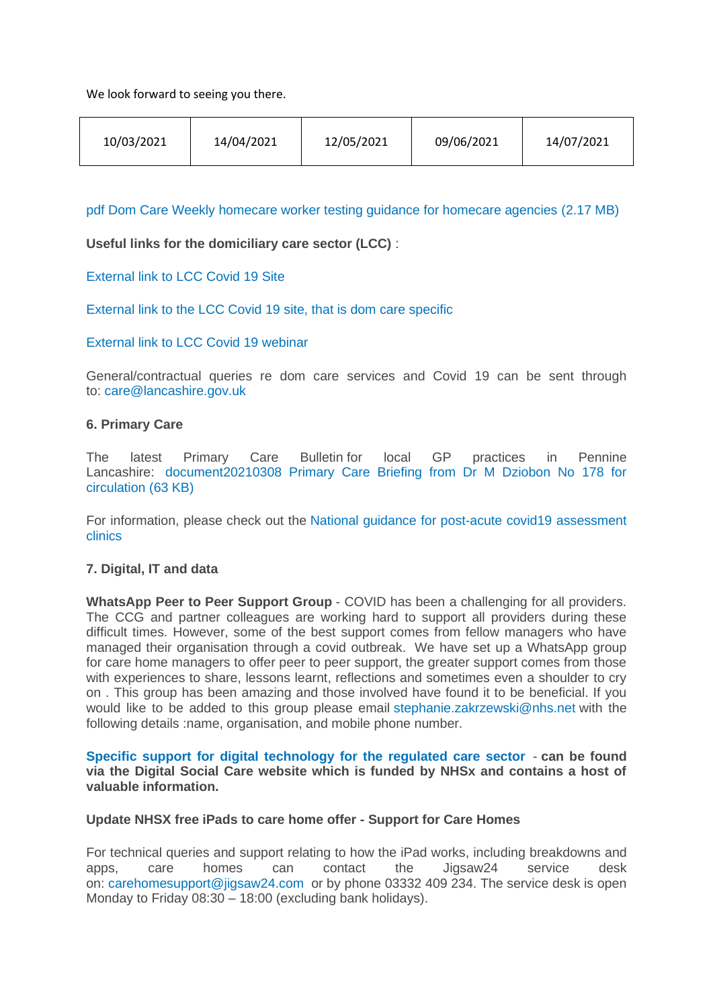We look forward to seeing you there.

|--|

[pdf Dom Care Weekly homecare worker testing guidance for homecare agencies](https://eastlancsccg.nhs.uk/contact-us/freedom-of-information/disclosure-logs/publications/2730-dom-care-weekly-homecare-worker-testing-guidance-for-homecare-agencies) (2.17 MB)

**Useful links for the domiciliary care sector (LCC)** :

[External link to LCC Covid 19 Site](https://www.lancashire.gov.uk/practitioners/health-and-social-care/care-service-provider-engagement/coronavirus-covid-19-information-for-care-providers/)

[External link to the LCC Covid 19 site, that is dom care specific](https://www.lancashire.gov.uk/practitioners/health-and-social-care/care-service-provider-engagement/coronavirus-covid-19-information-for-care-providers/home-care/)

[External link to LCC Covid 19 webinar](https://www.lancashire.gov.uk/practitioners/health-and-social-care/care-service-provider-engagement/coronavirus-covid-19-information-for-care-providers/local-communications-to-providers-and-service-users/covid-19-provider-engagement-webinars/)

General/contractual queries re dom care services and Covid 19 can be sent through to: [care@lancashire.gov.uk](mailto:care@lancashire.gov.uk)

#### **6. Primary Care**

The latest Primary Care Bulletin for local GP practices in Pennine Lancashire: [document20210308 Primary Care Briefing from Dr M Dziobon No 178 for](https://eastlancsccg.nhs.uk/about-us/publications/2797-20210308-primary-care-briefing-from-dr-m-dziobon-no-178-for-circulation)  [circulation](https://eastlancsccg.nhs.uk/about-us/publications/2797-20210308-primary-care-briefing-from-dr-m-dziobon-no-178-for-circulation) (63 KB)

For information, please check out the [National guidance for post-acute covid19 assessment](https://www.england.nhs.uk/coronavirus/guidance-for-everyone/your-covid-recovery/)  [clinics](https://www.england.nhs.uk/coronavirus/guidance-for-everyone/your-covid-recovery/) 

# **7. Digital, IT and data**

**WhatsApp Peer to Peer Support Group** - COVID has been a challenging for all providers. The CCG and partner colleagues are working hard to support all providers during these difficult times. However, some of the best support comes from fellow managers who have managed their organisation through a covid outbreak. We have set up a WhatsApp group for care home managers to offer peer to peer support, the greater support comes from those with experiences to share, lessons learnt, reflections and sometimes even a shoulder to cry on . This group has been amazing and those involved have found it to be beneficial. If you would like to be added to this group please email [stephanie.zakrzewski@nhs.net](mailto:stephanie.zakrzewski@nhs.net) with the following details :name, organisation, and mobile phone number.

**[Specific support for digital technology for the regulated care sector](https://www.digitalsocialcare.co.uk/)** - **can be found via the Digital Social Care website which is funded by NHSx and contains a host of valuable information.**

#### **Update NHSX free iPads to care home offer - Support for Care Homes**

For technical queries and support relating to how the iPad works, including breakdowns and apps, care homes can contact the Jigsaw24 service desk on: [carehomesupport@jigsaw24.com](mailto:carehomesupport@jigsaw24.com) or by phone 03332 409 234. The service desk is open Monday to Friday 08:30 – 18:00 (excluding bank holidays).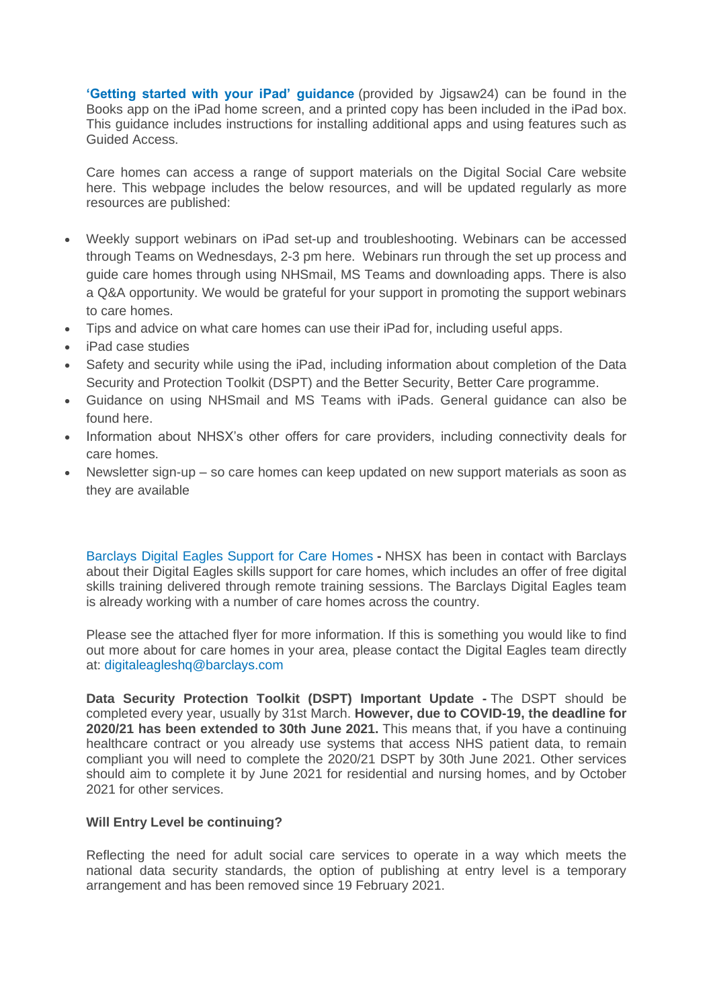**['Getting started with your iPad' guidance](https://eastlancsccg.nhs.uk/images/jigsaw24_CareHome_ipad_guide.pdf)** (provided by Jigsaw24) can be found in the Books app on the iPad home screen, and a printed copy has been included in the iPad box. This guidance includes instructions for installing additional apps and using features such as Guided Access.

Care homes can access a range of support materials on the Digital Social Care website here. This webpage includes the below resources, and will be updated regularly as more resources are published:

- Weekly support webinars on iPad set-up and troubleshooting. Webinars can be accessed through Teams on Wednesdays, 2-3 pm here. Webinars run through the set up process and guide care homes through using NHSmail, MS Teams and downloading apps. There is also a Q&A opportunity. We would be grateful for your support in promoting the support webinars to care homes.
- Tips and advice on what care homes can use their iPad for, including useful apps.
- iPad case studies
- Safety and security while using the iPad, including information about completion of the Data Security and Protection Toolkit (DSPT) and the Better Security, Better Care programme.
- Guidance on using NHSmail and MS Teams with iPads. General guidance can also be found here.
- Information about NHSX's other offers for care providers, including connectivity deals for care homes.
- Newsletter sign-up so care homes can keep updated on new support materials as soon as they are available

[Barclays Digital Eagles Support for Care Homes](https://eastlancsccg.nhs.uk/images/Barclays_Digital_Eagles_Care_Home_Flyer.pdf) **-** NHSX has been in contact with Barclays about their Digital Eagles skills support for care homes, which includes an offer of free digital skills training delivered through remote training sessions. The Barclays Digital Eagles team is already working with a number of care homes across the country.

Please see the attached flyer for more information. If this is something you would like to find out more about for care homes in your area, please contact the Digital Eagles team directly at: [digitaleagleshq@barclays.com](mailto:digitaleagleshq@barclays.com)

**Data Security Protection Toolkit (DSPT) Important Update -** The DSPT should be completed every year, usually by 31st March. **However, due to COVID-19, the deadline for 2020/21 has been extended to 30th June 2021.** This means that, if you have a continuing healthcare contract or you already use systems that access NHS patient data, to remain compliant you will need to complete the 2020/21 DSPT by 30th June 2021. Other services should aim to complete it by June 2021 for residential and nursing homes, and by October 2021 for other services.

# **Will Entry Level be continuing?**

Reflecting the need for adult social care services to operate in a way which meets the national data security standards, the option of publishing at entry level is a temporary arrangement and has been removed since 19 February 2021.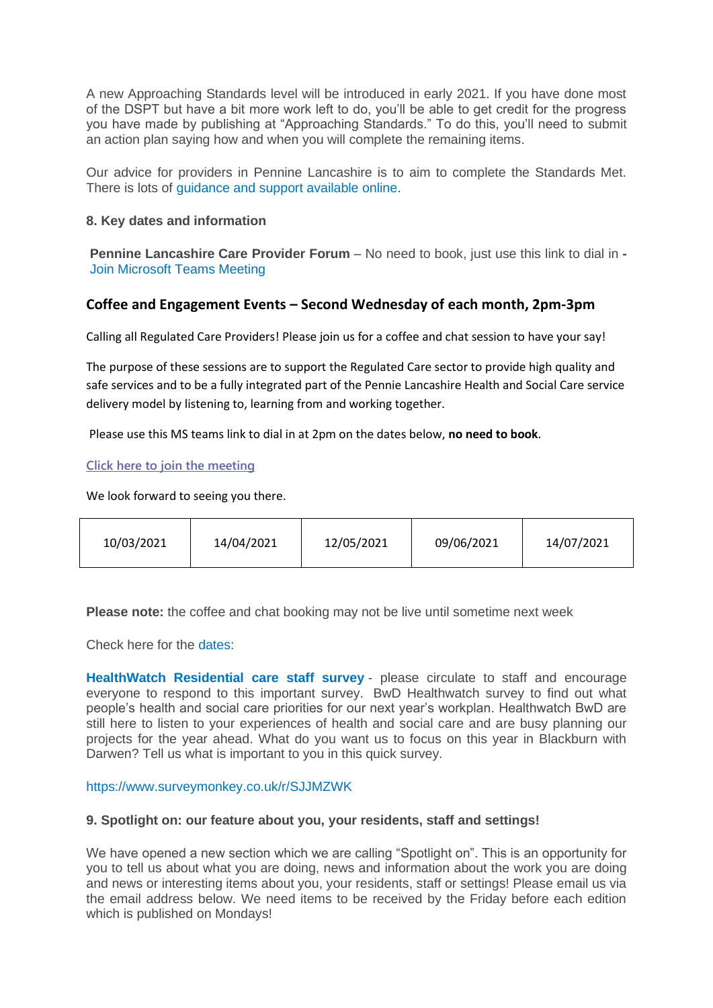A new Approaching Standards level will be introduced in early 2021. If you have done most of the DSPT but have a bit more work left to do, you'll be able to get credit for the progress you have made by publishing at "Approaching Standards." To do this, you'll need to submit an action plan saying how and when you will complete the remaining items.

Our advice for providers in Pennine Lancashire is to aim to complete the Standards Met. There is lots of [guidance and support available online.](https://www.digitalsocialcare.co.uk/data-security-protecting-my-information/data-security-and-protection-toolkit/)

#### **8. Key dates and information**

**Pennine Lancashire Care Provider Forum** – No need to book, just use this link to dial in **-** [Join Microsoft Teams Meeting](https://teams.microsoft.com/l/meetup-join/19%3ameeting_OWE0ZjdiNjUtNTRmZC00YzE2LWFhMjYtYjk2MGRhOTQ5NTEw%40thread.v2/0?context=%7b%22Tid%22%3a%2237c354b2-85b0-47f5-b222-07b48d774ee3%22%2c%22Oid%22%3a%226ae1fd49-b6bd-4e18-8c59-b3f5992aa6e2%22%7d)

# **Coffee and Engagement Events – Second Wednesday of each month, 2pm-3pm**

Calling all Regulated Care Providers! Please join us for a coffee and chat session to have your say!

The purpose of these sessions are to support the Regulated Care sector to provide high quality and safe services and to be a fully integrated part of the Pennie Lancashire Health and Social Care service delivery model by listening to, learning from and working together.

Please use this MS teams link to dial in at 2pm on the dates below, **no need to book**.

#### **[Click here to join the meeting](https://teams.microsoft.com/l/meetup-join/19%3ameeting_NjkxOTI3M2MtMzdlNC00MDliLWFhMjgtZmZiZjMzZGI5OTkw%40thread.v2/0?context=%7b%22Tid%22%3a%2237c354b2-85b0-47f5-b222-07b48d774ee3%22%2c%22Oid%22%3a%22a2ec35af-1c40-4f8f-8903-a088b26ed2a2%22%7d)**

We look forward to seeing you there.

| 10/03/2021 | 14/04/2021 | 12/05/2021 | 09/06/2021 | 14/07/2021 |
|------------|------------|------------|------------|------------|
|------------|------------|------------|------------|------------|

**Please note:** the coffee and chat booking may not be live until sometime next week

Check here for the [dates:](https://eastlancsccg.nhs.uk/images/Worksheet_in_E_Issue_No_14_1st_March_2021.xlsx)

**[HealthWatch Residential care staff survey](https://www.surveymonkey.co.uk/r/F37VV7N)** - please circulate to staff and encourage everyone to respond to this important survey. BwD Healthwatch survey to find out what people's health and social care priorities for our next year's workplan. Healthwatch BwD are still here to listen to your experiences of health and social care and are busy planning our projects for the year ahead. What do you want us to focus on this year in Blackburn with Darwen? Tell us what is important to you in this quick survey.

<https://www.surveymonkey.co.uk/r/SJJMZWK>

#### **9. Spotlight on: our feature about you, your residents, staff and settings!**

We have opened a new section which we are calling "Spotlight on". This is an opportunity for you to tell us about what you are doing, news and information about the work you are doing and news or interesting items about you, your residents, staff or settings! Please email us via the email address below. We need items to be received by the Friday before each edition which is published on Mondays!